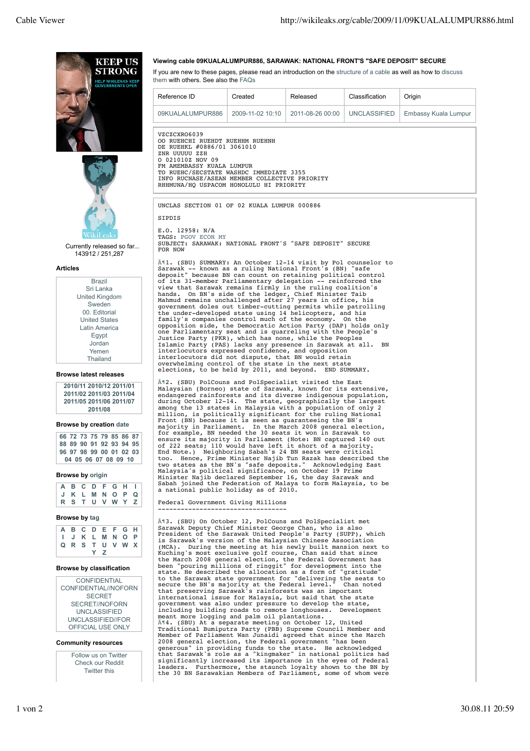